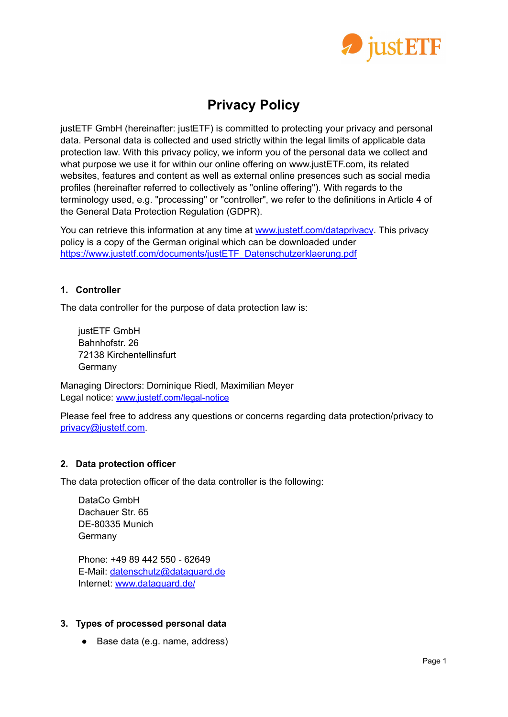

# **Privacy Policy**

justETF GmbH (hereinafter: justETF) is committed to protecting your privacy and personal data. Personal data is collected and used strictly within the legal limits of applicable data protection law. With this privacy policy, we inform you of the personal data we collect and what purpose we use it for within our online offering on www.justETF.com, its related websites, features and content as well as external online presences such as social media profiles (hereinafter referred to collectively as "online offering"). With regards to the terminology used, e.g. "processing" or "controller", we refer to the definitions in Article 4 of the General Data Protection Regulation (GDPR).

You can retrieve this information at any time at [www.justetf.com/dataprivacy](https://www.justetf.com/dataprivacy). This privacy policy is a copy of the German original which can be downloaded under [https://www.justetf.com/documents/justETF\\_Datenschutzerklaerung.pdf](https://www.justetf.com/documents/justETF_Datenschutzerklaerung.pdf)

# **1. Controller**

The data controller for the purpose of data protection law is:

justETF GmbH Bahnhofstr. 26 72138 Kirchentellinsfurt Germany

Managing Directors: Dominique Riedl, Maximilian Meyer Legal notice: [www.justetf.com/legal-notice](http://www.justetf.com/legal-notice)

Please feel free to address any questions or concerns regarding data protection/privacy to [privacy@justetf.com](mailto:privacy@justetf.com).

# **2. Data protection officer**

The data protection officer of the data controller is the following:

DataCo GmbH Dachauer Str. 65 DE-80335 Munich **Germany** 

Phone: +49 89 442 550 - 62649 E-Mail: [datenschutz@dataguard.de](mailto:datenschutz@dataguard.de) Internet: [www.dataguard.de/](https://www.dataguard.de/)

# **3. Types of processed personal data**

● Base data (e.g. name, address)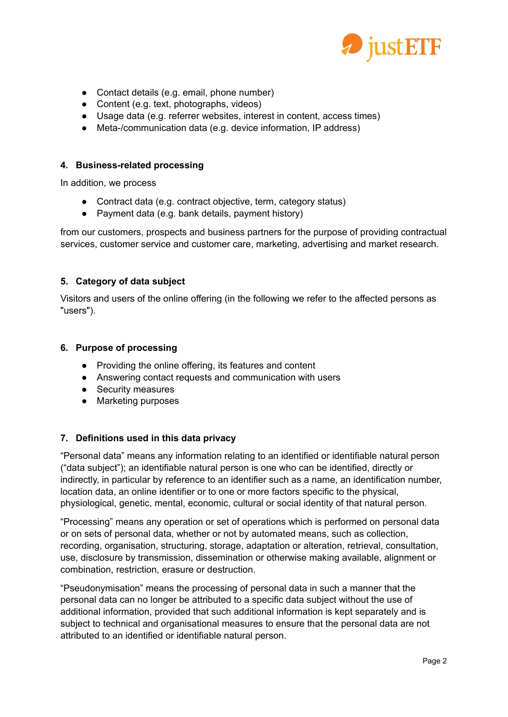

- Contact details (e.g. email, phone number)
- Content (e.g. text, photographs, videos)
- Usage data (e.g. referrer websites, interest in content, access times)
- Meta-/communication data (e.g. device information, IP address)

## **4. Business-related processing**

In addition, we process

- Contract data (e.g. contract objective, term, category status)
- Payment data (e.g. bank details, payment history)

from our customers, prospects and business partners for the purpose of providing contractual services, customer service and customer care, marketing, advertising and market research.

# **5. Category of data subject**

Visitors and users of the online offering (in the following we refer to the affected persons as "users").

## **6. Purpose of processing**

- Providing the online offering, its features and content
- Answering contact requests and communication with users
- Security measures
- Marketing purposes

# **7. Definitions used in this data privacy**

"Personal data" means any information relating to an identified or identifiable natural person ("data subject"); an identifiable natural person is one who can be identified, directly or indirectly, in particular by reference to an identifier such as a name, an identification number, location data, an online identifier or to one or more factors specific to the physical, physiological, genetic, mental, economic, cultural or social identity of that natural person.

"Processing" means any operation or set of operations which is performed on personal data or on sets of personal data, whether or not by automated means, such as collection, recording, organisation, structuring, storage, adaptation or alteration, retrieval, consultation, use, disclosure by transmission, dissemination or otherwise making available, alignment or combination, restriction, erasure or destruction.

"Pseudonymisation" means the processing of personal data in such a manner that the personal data can no longer be attributed to a specific data subject without the use of additional information, provided that such additional information is kept separately and is subject to technical and organisational measures to ensure that the personal data are not attributed to an identified or identifiable natural person.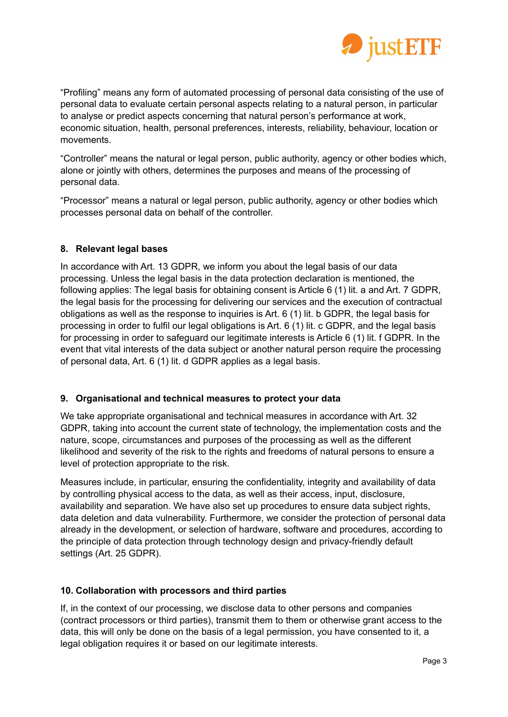

"Profiling" means any form of automated processing of personal data consisting of the use of personal data to evaluate certain personal aspects relating to a natural person, in particular to analyse or predict aspects concerning that natural person's performance at work, economic situation, health, personal preferences, interests, reliability, behaviour, location or movements.

"Controller" means the natural or legal person, public authority, agency or other bodies which, alone or jointly with others, determines the purposes and means of the processing of personal data.

"Processor" means a natural or legal person, public authority, agency or other bodies which processes personal data on behalf of the controller.

# **8. Relevant legal bases**

In accordance with Art. 13 GDPR, we inform you about the legal basis of our data processing. Unless the legal basis in the data protection declaration is mentioned, the following applies: The legal basis for obtaining consent is Article 6 (1) lit. a and Art. 7 GDPR, the legal basis for the processing for delivering our services and the execution of contractual obligations as well as the response to inquiries is Art. 6 (1) lit. b GDPR, the legal basis for processing in order to fulfil our legal obligations is Art. 6 (1) lit. c GDPR, and the legal basis for processing in order to safeguard our legitimate interests is Article 6 (1) lit. f GDPR. In the event that vital interests of the data subject or another natural person require the processing of personal data, Art. 6 (1) lit. d GDPR applies as a legal basis.

# **9. Organisational and technical measures to protect your data**

We take appropriate organisational and technical measures in accordance with Art. 32 GDPR, taking into account the current state of technology, the implementation costs and the nature, scope, circumstances and purposes of the processing as well as the different likelihood and severity of the risk to the rights and freedoms of natural persons to ensure a level of protection appropriate to the risk.

Measures include, in particular, ensuring the confidentiality, integrity and availability of data by controlling physical access to the data, as well as their access, input, disclosure, availability and separation. We have also set up procedures to ensure data subject rights, data deletion and data vulnerability. Furthermore, we consider the protection of personal data already in the development, or selection of hardware, software and procedures, according to the principle of data protection through technology design and privacy-friendly default settings (Art. 25 GDPR).

# **10. Collaboration with processors and third parties**

If, in the context of our processing, we disclose data to other persons and companies (contract processors or third parties), transmit them to them or otherwise grant access to the data, this will only be done on the basis of a legal permission, you have consented to it, a legal obligation requires it or based on our legitimate interests.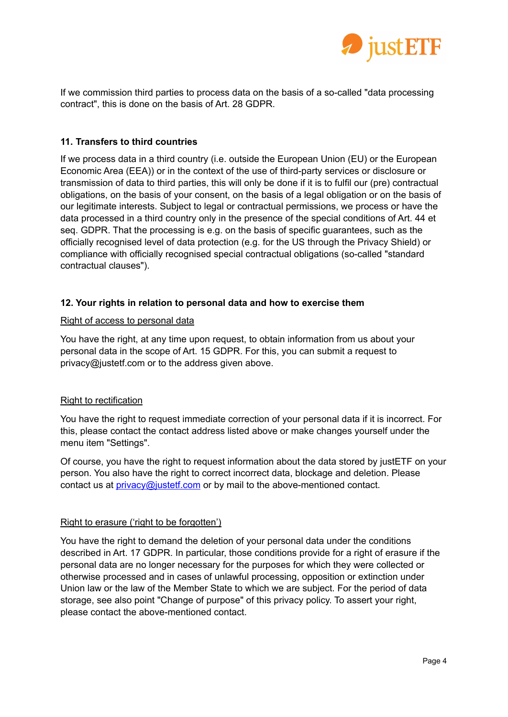

If we commission third parties to process data on the basis of a so-called "data processing contract", this is done on the basis of Art. 28 GDPR.

## **11. Transfers to third countries**

If we process data in a third country (i.e. outside the European Union (EU) or the European Economic Area (EEA)) or in the context of the use of third-party services or disclosure or transmission of data to third parties, this will only be done if it is to fulfil our (pre) contractual obligations, on the basis of your consent, on the basis of a legal obligation or on the basis of our legitimate interests. Subject to legal or contractual permissions, we process or have the data processed in a third country only in the presence of the special conditions of Art. 44 et seq. GDPR. That the processing is e.g. on the basis of specific guarantees, such as the officially recognised level of data protection (e.g. for the US through the Privacy Shield) or compliance with officially recognised special contractual obligations (so-called "standard contractual clauses").

## **12. Your rights in relation to personal data and how to exercise them**

#### Right of access to personal data

You have the right, at any time upon request, to obtain information from us about your personal data in the scope of Art. 15 GDPR. For this, you can submit a request to privacy@justetf.com or to the address given above.

#### Right to rectification

You have the right to request immediate correction of your personal data if it is incorrect. For this, please contact the contact address listed above or make changes yourself under the menu item "Settings".

Of course, you have the right to request information about the data stored by justETF on your person. You also have the right to correct incorrect data, blockage and deletion. Please contact us at *[privacy@justetf.com](mailto:privacy@justetf.com)* or by mail to the above-mentioned contact.

#### Right to erasure ('right to be forgotten')

You have the right to demand the deletion of your personal data under the conditions described in Art. 17 GDPR. In particular, those conditions provide for a right of erasure if the personal data are no longer necessary for the purposes for which they were collected or otherwise processed and in cases of unlawful processing, opposition or extinction under Union law or the law of the Member State to which we are subject. For the period of data storage, see also point "Change of purpose" of this privacy policy. To assert your right, please contact the above-mentioned contact.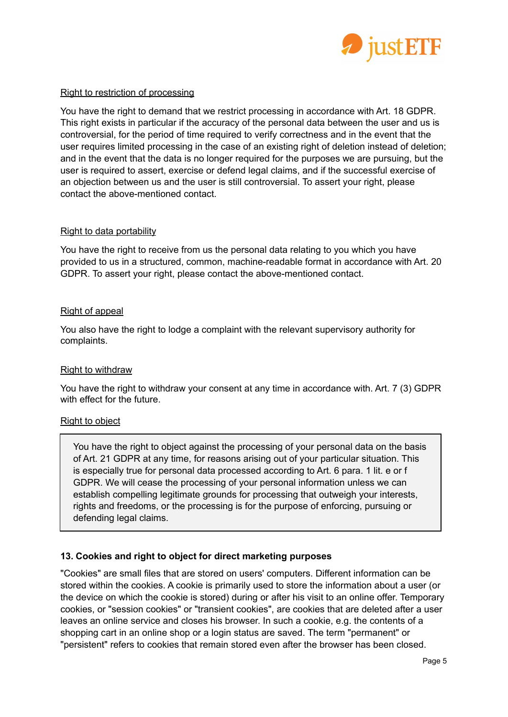

## Right to restriction of processing

You have the right to demand that we restrict processing in accordance with Art. 18 GDPR. This right exists in particular if the accuracy of the personal data between the user and us is controversial, for the period of time required to verify correctness and in the event that the user requires limited processing in the case of an existing right of deletion instead of deletion; and in the event that the data is no longer required for the purposes we are pursuing, but the user is required to assert, exercise or defend legal claims, and if the successful exercise of an objection between us and the user is still controversial. To assert your right, please contact the above-mentioned contact.

## Right to data portability

You have the right to receive from us the personal data relating to you which you have provided to us in a structured, common, machine-readable format in accordance with Art. 20 GDPR. To assert your right, please contact the above-mentioned contact.

## Right of appeal

You also have the right to lodge a complaint with the relevant supervisory authority for complaints.

#### Right to withdraw

You have the right to withdraw your consent at any time in accordance with. Art. 7 (3) GDPR with effect for the future.

#### Right to object

You have the right to object against the processing of your personal data on the basis of Art. 21 GDPR at any time, for reasons arising out of your particular situation. This is especially true for personal data processed according to Art. 6 para. 1 lit. e or f GDPR. We will cease the processing of your personal information unless we can establish compelling legitimate grounds for processing that outweigh your interests, rights and freedoms, or the processing is for the purpose of enforcing, pursuing or defending legal claims.

# **13. Cookies and right to object for direct marketing purposes**

"Cookies" are small files that are stored on users' computers. Different information can be stored within the cookies. A cookie is primarily used to store the information about a user (or the device on which the cookie is stored) during or after his visit to an online offer. Temporary cookies, or "session cookies" or "transient cookies", are cookies that are deleted after a user leaves an online service and closes his browser. In such a cookie, e.g. the contents of a shopping cart in an online shop or a login status are saved. The term "permanent" or "persistent" refers to cookies that remain stored even after the browser has been closed.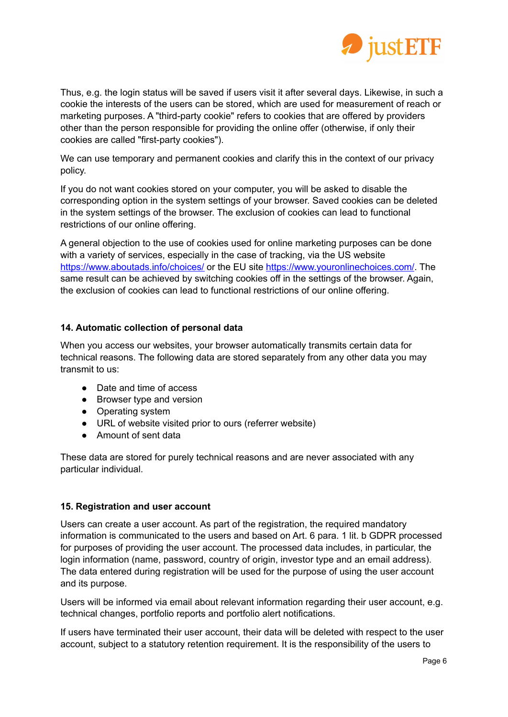

Thus, e.g. the login status will be saved if users visit it after several days. Likewise, in such a cookie the interests of the users can be stored, which are used for measurement of reach or marketing purposes. A "third-party cookie" refers to cookies that are offered by providers other than the person responsible for providing the online offer (otherwise, if only their cookies are called "first-party cookies").

We can use temporary and permanent cookies and clarify this in the context of our privacy policy.

If you do not want cookies stored on your computer, you will be asked to disable the corresponding option in the system settings of your browser. Saved cookies can be deleted in the system settings of the browser. The exclusion of cookies can lead to functional restrictions of our online offering.

A general objection to the use of cookies used for online marketing purposes can be done with a variety of services, especially in the case of tracking, via the US website <https://www.aboutads.info/choices/> or the EU site <https://www.youronlinechoices.com/>. The same result can be achieved by switching cookies off in the settings of the browser. Again, the exclusion of cookies can lead to functional restrictions of our online offering.

# **14. Automatic collection of personal data**

When you access our websites, your browser automatically transmits certain data for technical reasons. The following data are stored separately from any other data you may transmit to us:

- Date and time of access
- Browser type and version
- Operating system
- URL of website visited prior to ours (referrer website)
- Amount of sent data

These data are stored for purely technical reasons and are never associated with any particular individual.

# **15. Registration and user account**

Users can create a user account. As part of the registration, the required mandatory information is communicated to the users and based on Art. 6 para. 1 lit. b GDPR processed for purposes of providing the user account. The processed data includes, in particular, the login information (name, password, country of origin, investor type and an email address). The data entered during registration will be used for the purpose of using the user account and its purpose.

Users will be informed via email about relevant information regarding their user account, e.g. technical changes, portfolio reports and portfolio alert notifications.

If users have terminated their user account, their data will be deleted with respect to the user account, subject to a statutory retention requirement. It is the responsibility of the users to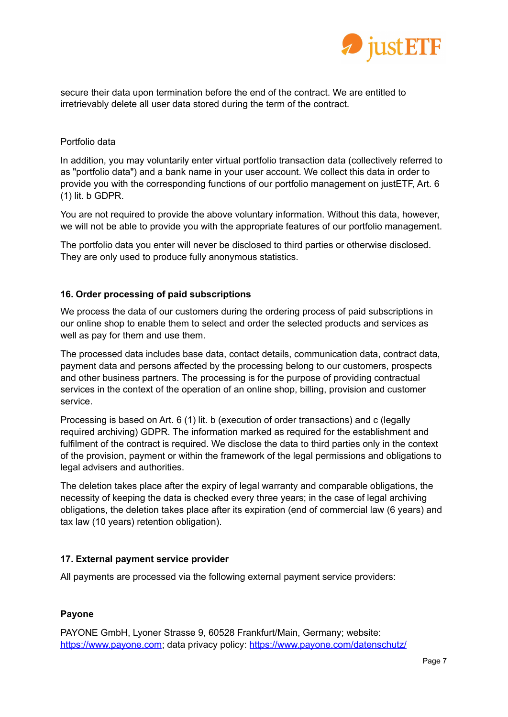

secure their data upon termination before the end of the contract. We are entitled to irretrievably delete all user data stored during the term of the contract.

## Portfolio data

In addition, you may voluntarily enter virtual portfolio transaction data (collectively referred to as "portfolio data") and a bank name in your user account. We collect this data in order to provide you with the corresponding functions of our portfolio management on justETF, Art. 6 (1) lit. b GDPR.

You are not required to provide the above voluntary information. Without this data, however, we will not be able to provide you with the appropriate features of our portfolio management.

The portfolio data you enter will never be disclosed to third parties or otherwise disclosed. They are only used to produce fully anonymous statistics.

## **16. Order processing of paid subscriptions**

We process the data of our customers during the ordering process of paid subscriptions in our online shop to enable them to select and order the selected products and services as well as pay for them and use them.

The processed data includes base data, contact details, communication data, contract data, payment data and persons affected by the processing belong to our customers, prospects and other business partners. The processing is for the purpose of providing contractual services in the context of the operation of an online shop, billing, provision and customer service.

Processing is based on Art. 6 (1) lit. b (execution of order transactions) and c (legally required archiving) GDPR. The information marked as required for the establishment and fulfilment of the contract is required. We disclose the data to third parties only in the context of the provision, payment or within the framework of the legal permissions and obligations to legal advisers and authorities.

The deletion takes place after the expiry of legal warranty and comparable obligations, the necessity of keeping the data is checked every three years; in the case of legal archiving obligations, the deletion takes place after its expiration (end of commercial law (6 years) and tax law (10 years) retention obligation).

# **17. External payment service provider**

All payments are processed via the following external payment service providers:

# **Payone**

PAYONE GmbH, Lyoner Strasse 9, 60528 Frankfurt/Main, Germany; website: [https://www.payone.com](https://www.payone.com/DE-de/); data privacy policy: <https://www.payone.com/datenschutz/>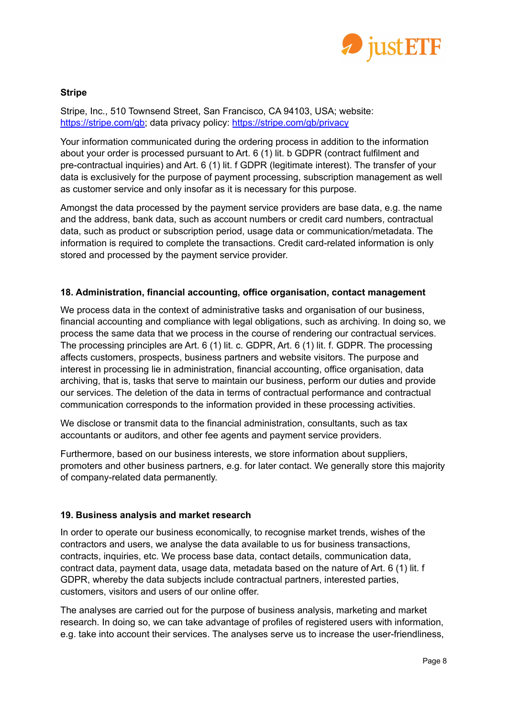

# **Stripe**

Stripe, Inc., 510 Townsend Street, San Francisco, CA 94103, USA; website: [https://stripe.com/gb;](https://stripe.com/gb) data privacy policy: <https://stripe.com/gb/privacy>

Your information communicated during the ordering process in addition to the information about your order is processed pursuant to Art. 6 (1) lit. b GDPR (contract fulfilment and pre-contractual inquiries) and Art. 6 (1) lit. f GDPR (legitimate interest). The transfer of your data is exclusively for the purpose of payment processing, subscription management as well as customer service and only insofar as it is necessary for this purpose.

Amongst the data processed by the payment service providers are base data, e.g. the name and the address, bank data, such as account numbers or credit card numbers, contractual data, such as product or subscription period, usage data or communication/metadata. The information is required to complete the transactions. Credit card-related information is only stored and processed by the payment service provider.

# **18. Administration, financial accounting, office organisation, contact management**

We process data in the context of administrative tasks and organisation of our business, financial accounting and compliance with legal obligations, such as archiving. In doing so, we process the same data that we process in the course of rendering our contractual services. The processing principles are Art. 6 (1) lit. c. GDPR, Art. 6 (1) lit. f. GDPR. The processing affects customers, prospects, business partners and website visitors. The purpose and interest in processing lie in administration, financial accounting, office organisation, data archiving, that is, tasks that serve to maintain our business, perform our duties and provide our services. The deletion of the data in terms of contractual performance and contractual communication corresponds to the information provided in these processing activities.

We disclose or transmit data to the financial administration, consultants, such as tax accountants or auditors, and other fee agents and payment service providers.

Furthermore, based on our business interests, we store information about suppliers, promoters and other business partners, e.g. for later contact. We generally store this majority of company-related data permanently.

# **19. Business analysis and market research**

In order to operate our business economically, to recognise market trends, wishes of the contractors and users, we analyse the data available to us for business transactions, contracts, inquiries, etc. We process base data, contact details, communication data, contract data, payment data, usage data, metadata based on the nature of Art. 6 (1) lit. f GDPR, whereby the data subjects include contractual partners, interested parties, customers, visitors and users of our online offer.

The analyses are carried out for the purpose of business analysis, marketing and market research. In doing so, we can take advantage of profiles of registered users with information, e.g. take into account their services. The analyses serve us to increase the user-friendliness,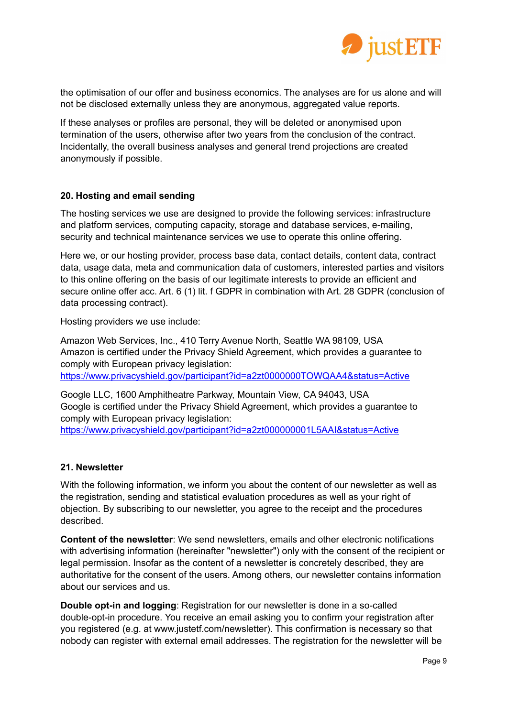

the optimisation of our offer and business economics. The analyses are for us alone and will not be disclosed externally unless they are anonymous, aggregated value reports.

If these analyses or profiles are personal, they will be deleted or anonymised upon termination of the users, otherwise after two years from the conclusion of the contract. Incidentally, the overall business analyses and general trend projections are created anonymously if possible.

# **20. Hosting and email sending**

The hosting services we use are designed to provide the following services: infrastructure and platform services, computing capacity, storage and database services, e-mailing, security and technical maintenance services we use to operate this online offering.

Here we, or our hosting provider, process base data, contact details, content data, contract data, usage data, meta and communication data of customers, interested parties and visitors to this online offering on the basis of our legitimate interests to provide an efficient and secure online offer acc. Art. 6 (1) lit. f GDPR in combination with Art. 28 GDPR (conclusion of data processing contract).

Hosting providers we use include:

Amazon Web Services, Inc., 410 Terry Avenue North, Seattle WA 98109, USA Amazon is certified under the Privacy Shield Agreement, which provides a guarantee to comply with European privacy legislation:

<https://www.privacyshield.gov/participant?id=a2zt0000000TOWQAA4&status=Active>

Google LLC, 1600 Amphitheatre Parkway, Mountain View, CA 94043, USA Google is certified under the Privacy Shield Agreement, which provides a guarantee to comply with European privacy legislation:

<https://www.privacyshield.gov/participant?id=a2zt000000001L5AAI&status=Active>

#### **21. Newsletter**

With the following information, we inform you about the content of our newsletter as well as the registration, sending and statistical evaluation procedures as well as your right of objection. By subscribing to our newsletter, you agree to the receipt and the procedures described.

**Content of the newsletter**: We send newsletters, emails and other electronic notifications with advertising information (hereinafter "newsletter") only with the consent of the recipient or legal permission. Insofar as the content of a newsletter is concretely described, they are authoritative for the consent of the users. Among others, our newsletter contains information about our services and us.

**Double opt-in and logging**: Registration for our newsletter is done in a so-called double-opt-in procedure. You receive an email asking you to confirm your registration after you registered (e.g. at www.justetf.com/newsletter). This confirmation is necessary so that nobody can register with external email addresses. The registration for the newsletter will be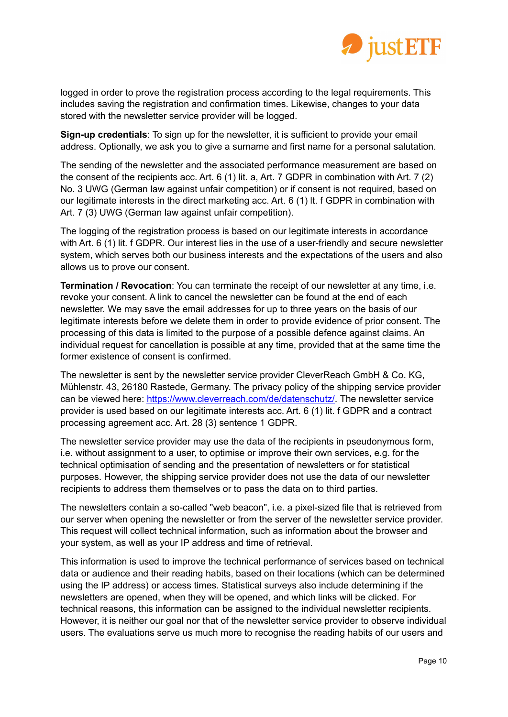

logged in order to prove the registration process according to the legal requirements. This includes saving the registration and confirmation times. Likewise, changes to your data stored with the newsletter service provider will be logged.

**Sign-up credentials**: To sign up for the newsletter, it is sufficient to provide your email address. Optionally, we ask you to give a surname and first name for a personal salutation.

The sending of the newsletter and the associated performance measurement are based on the consent of the recipients acc. Art. 6 (1) lit. a, Art. 7 GDPR in combination with Art. 7 (2) No. 3 UWG (German law against unfair competition) or if consent is not required, based on our legitimate interests in the direct marketing acc. Art. 6 (1) lt. f GDPR in combination with Art. 7 (3) UWG (German law against unfair competition).

The logging of the registration process is based on our legitimate interests in accordance with Art. 6 (1) lit. f GDPR. Our interest lies in the use of a user-friendly and secure newsletter system, which serves both our business interests and the expectations of the users and also allows us to prove our consent.

**Termination / Revocation**: You can terminate the receipt of our newsletter at any time, i.e. revoke your consent. A link to cancel the newsletter can be found at the end of each newsletter. We may save the email addresses for up to three years on the basis of our legitimate interests before we delete them in order to provide evidence of prior consent. The processing of this data is limited to the purpose of a possible defence against claims. An individual request for cancellation is possible at any time, provided that at the same time the former existence of consent is confirmed.

The newsletter is sent by the newsletter service provider CleverReach GmbH & Co. KG, Mühlenstr. 43, 26180 Rastede, Germany. The privacy policy of the shipping service provider can be viewed here: [https://www.cleverreach.com/de/datenschutz/.](https://www.cleverreach.com/de/datenschutz/) The newsletter service provider is used based on our legitimate interests acc. Art. 6 (1) lit. f GDPR and a contract processing agreement acc. Art. 28 (3) sentence 1 GDPR.

The newsletter service provider may use the data of the recipients in pseudonymous form, i.e. without assignment to a user, to optimise or improve their own services, e.g. for the technical optimisation of sending and the presentation of newsletters or for statistical purposes. However, the shipping service provider does not use the data of our newsletter recipients to address them themselves or to pass the data on to third parties.

The newsletters contain a so-called "web beacon", i.e. a pixel-sized file that is retrieved from our server when opening the newsletter or from the server of the newsletter service provider. This request will collect technical information, such as information about the browser and your system, as well as your IP address and time of retrieval.

This information is used to improve the technical performance of services based on technical data or audience and their reading habits, based on their locations (which can be determined using the IP address) or access times. Statistical surveys also include determining if the newsletters are opened, when they will be opened, and which links will be clicked. For technical reasons, this information can be assigned to the individual newsletter recipients. However, it is neither our goal nor that of the newsletter service provider to observe individual users. The evaluations serve us much more to recognise the reading habits of our users and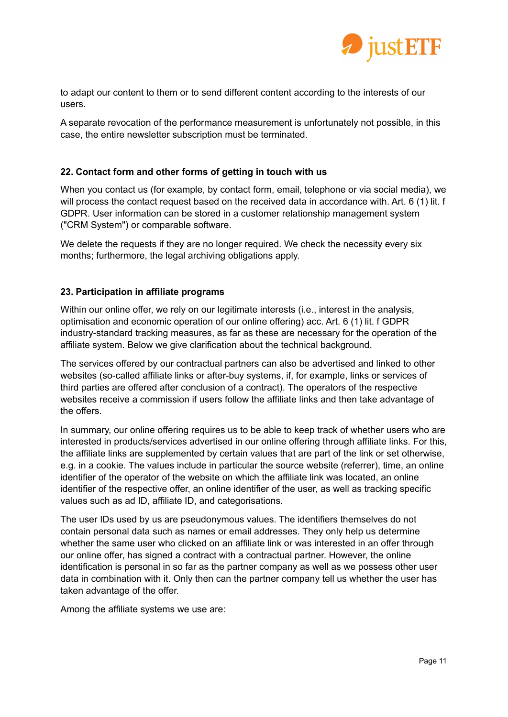

to adapt our content to them or to send different content according to the interests of our users.

A separate revocation of the performance measurement is unfortunately not possible, in this case, the entire newsletter subscription must be terminated.

# **22. Contact form and other forms of getting in touch with us**

When you contact us (for example, by contact form, email, telephone or via social media), we will process the contact request based on the received data in accordance with. Art. 6 (1) lit. f GDPR. User information can be stored in a customer relationship management system ("CRM System") or comparable software.

We delete the requests if they are no longer required. We check the necessity every six months; furthermore, the legal archiving obligations apply.

## **23. Participation in affiliate programs**

Within our online offer, we rely on our legitimate interests (i.e., interest in the analysis, optimisation and economic operation of our online offering) acc. Art. 6 (1) lit. f GDPR industry-standard tracking measures, as far as these are necessary for the operation of the affiliate system. Below we give clarification about the technical background.

The services offered by our contractual partners can also be advertised and linked to other websites (so-called affiliate links or after-buy systems, if, for example, links or services of third parties are offered after conclusion of a contract). The operators of the respective websites receive a commission if users follow the affiliate links and then take advantage of the offers.

In summary, our online offering requires us to be able to keep track of whether users who are interested in products/services advertised in our online offering through affiliate links. For this, the affiliate links are supplemented by certain values that are part of the link or set otherwise, e.g. in a cookie. The values include in particular the source website (referrer), time, an online identifier of the operator of the website on which the affiliate link was located, an online identifier of the respective offer, an online identifier of the user, as well as tracking specific values such as ad ID, affiliate ID, and categorisations.

The user IDs used by us are pseudonymous values. The identifiers themselves do not contain personal data such as names or email addresses. They only help us determine whether the same user who clicked on an affiliate link or was interested in an offer through our online offer, has signed a contract with a contractual partner. However, the online identification is personal in so far as the partner company as well as we possess other user data in combination with it. Only then can the partner company tell us whether the user has taken advantage of the offer.

Among the affiliate systems we use are: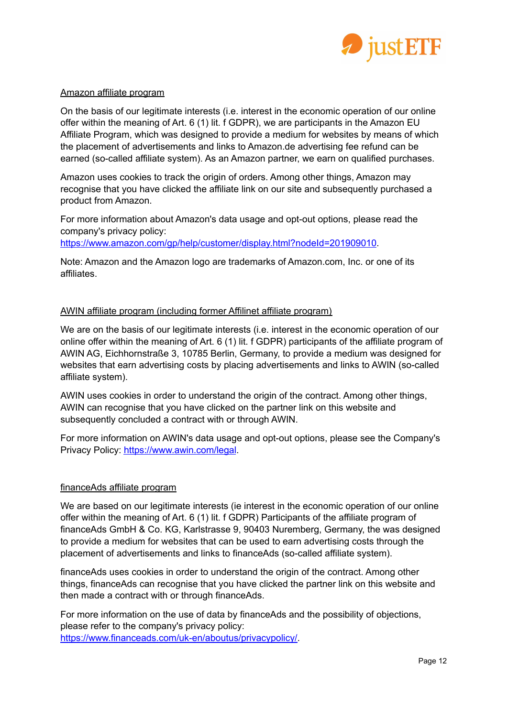

## Amazon affiliate program

On the basis of our legitimate interests (i.e. interest in the economic operation of our online offer within the meaning of Art. 6 (1) lit. f GDPR), we are participants in the Amazon EU Affiliate Program, which was designed to provide a medium for websites by means of which the placement of advertisements and links to Amazon.de advertising fee refund can be earned (so-called affiliate system). As an Amazon partner, we earn on qualified purchases.

Amazon uses cookies to track the origin of orders. Among other things, Amazon may recognise that you have clicked the affiliate link on our site and subsequently purchased a product from Amazon.

For more information about Amazon's data usage and opt-out options, please read the company's privacy policy:

[https://www.amazon.com/gp/help/customer/display.html?nodeId=201909010.](https://www.amazon.com/gp/help/customer/display.html?nodeId=201909010)

Note: Amazon and the Amazon logo are trademarks of Amazon.com, Inc. or one of its affiliates.

# AWIN affiliate program (including former Affilinet affiliate program)

We are on the basis of our legitimate interests (i.e. interest in the economic operation of our online offer within the meaning of Art. 6 (1) lit. f GDPR) participants of the affiliate program of AWIN AG, Eichhornstraße 3, 10785 Berlin, Germany, to provide a medium was designed for websites that earn advertising costs by placing advertisements and links to AWIN (so-called affiliate system).

AWIN uses cookies in order to understand the origin of the contract. Among other things, AWIN can recognise that you have clicked on the partner link on this website and subsequently concluded a contract with or through AWIN.

For more information on AWIN's data usage and opt-out options, please see the Company's Privacy Policy: <https://www.awin.com/legal>.

# financeAds affiliate program

We are based on our legitimate interests (ie interest in the economic operation of our online offer within the meaning of Art. 6 (1) lit. f GDPR) Participants of the affiliate program of financeAds GmbH & Co. KG, Karlstrasse 9, 90403 Nuremberg, Germany, the was designed to provide a medium for websites that can be used to earn advertising costs through the placement of advertisements and links to financeAds (so-called affiliate system).

financeAds uses cookies in order to understand the origin of the contract. Among other things, financeAds can recognise that you have clicked the partner link on this website and then made a contract with or through financeAds.

For more information on the use of data by financeAds and the possibility of objections, please refer to the company's privacy policy: [https://www.financeads.com/uk-en/aboutus/privacypolicy/.](https://www.financeads.com/uk-en/aboutus/privacypolicy/)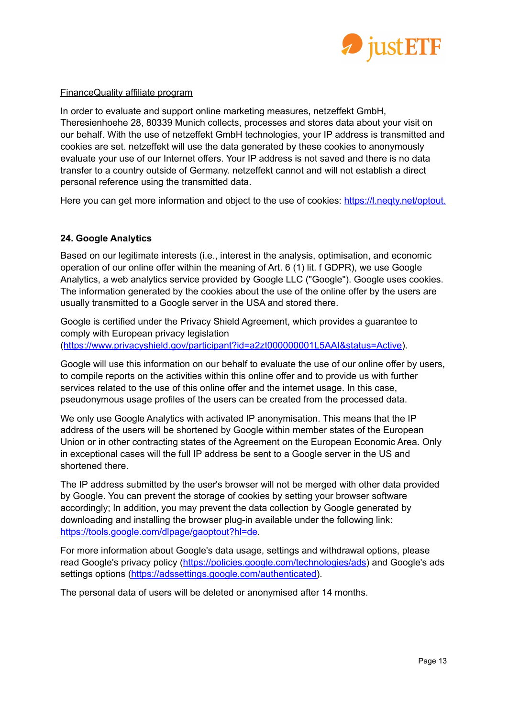

## FinanceQuality affiliate program

In order to evaluate and support online marketing measures, netzeffekt GmbH, Theresienhoehe 28, 80339 Munich collects, processes and stores data about your visit on our behalf. With the use of netzeffekt GmbH technologies, your IP address is transmitted and cookies are set. netzeffekt will use the data generated by these cookies to anonymously evaluate your use of our Internet offers. Your IP address is not saved and there is no data transfer to a country outside of Germany. netzeffekt cannot and will not establish a direct personal reference using the transmitted data.

Here you can get more information and object to the use of cookies: https://l.negty.net/optout.

# **24. Google Analytics**

Based on our legitimate interests (i.e., interest in the analysis, optimisation, and economic operation of our online offer within the meaning of Art. 6 (1) lit. f GDPR), we use Google Analytics, a web analytics service provided by Google LLC ("Google"). Google uses cookies. The information generated by the cookies about the use of the online offer by the users are usually transmitted to a Google server in the USA and stored there.

Google is certified under the Privacy Shield Agreement, which provides a guarantee to comply with European privacy legislation ([https://www.privacyshield.gov/participant?id=a2zt000000001L5AAI&status=Active\)](https://www.privacyshield.gov/participant?id=a2zt000000001L5AAI&status=Active).

Google will use this information on our behalf to evaluate the use of our online offer by users, to compile reports on the activities within this online offer and to provide us with further services related to the use of this online offer and the internet usage. In this case, pseudonymous usage profiles of the users can be created from the processed data.

We only use Google Analytics with activated IP anonymisation. This means that the IP address of the users will be shortened by Google within member states of the European Union or in other contracting states of the Agreement on the European Economic Area. Only in exceptional cases will the full IP address be sent to a Google server in the US and shortened there.

The IP address submitted by the user's browser will not be merged with other data provided by Google. You can prevent the storage of cookies by setting your browser software accordingly; In addition, you may prevent the data collection by Google generated by downloading and installing the browser plug-in available under the following link: <https://tools.google.com/dlpage/gaoptout?hl=de>.

For more information about Google's data usage, settings and withdrawal options, please read Google's privacy policy ([https://policies.google.com/technologies/ads\)](https://policies.google.com/technologies/ads) and Google's ads settings options ([https://adssettings.google.com/authenticated\)](https://adssettings.google.com/authenticated).

The personal data of users will be deleted or anonymised after 14 months.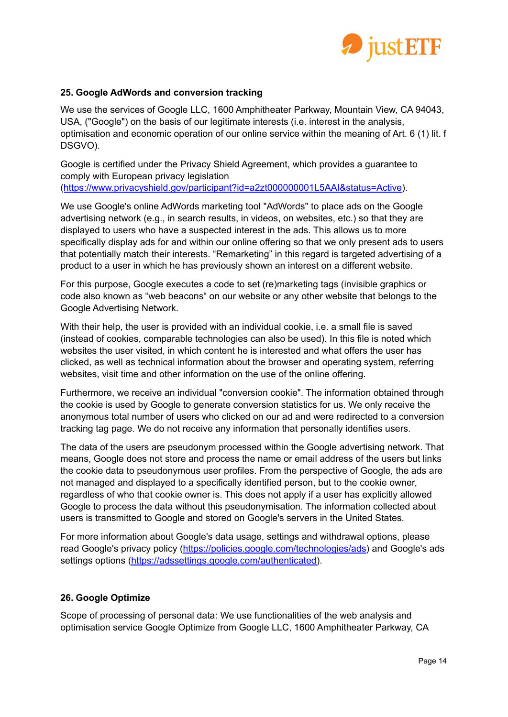

# **25. Google AdWords and conversion tracking**

We use the services of Google LLC, 1600 Amphitheater Parkway, Mountain View, CA 94043, USA, ("Google") on the basis of our legitimate interests (i.e. interest in the analysis, optimisation and economic operation of our online service within the meaning of Art. 6 (1) lit. f DSGVO).

Google is certified under the Privacy Shield Agreement, which provides a guarantee to comply with European privacy legislation ([https://www.privacyshield.gov/participant?id=a2zt000000001L5AAI&status=Active\)](https://www.privacyshield.gov/participant?id=a2zt000000001L5AAI&status=Active).

We use Google's online AdWords marketing tool "AdWords" to place ads on the Google advertising network (e.g., in search results, in videos, on websites, etc.) so that they are displayed to users who have a suspected interest in the ads. This allows us to more specifically display ads for and within our online offering so that we only present ads to users that potentially match their interests. "Remarketing" in this regard is targeted advertising of a product to a user in which he has previously shown an interest on a different website.

For this purpose, Google executes a code to set (re)marketing tags (invisible graphics or code also known as "web beacons" on our website or any other website that belongs to the Google Advertising Network.

With their help, the user is provided with an individual cookie, i.e. a small file is saved (instead of cookies, comparable technologies can also be used). In this file is noted which websites the user visited, in which content he is interested and what offers the user has clicked, as well as technical information about the browser and operating system, referring websites, visit time and other information on the use of the online offering.

Furthermore, we receive an individual "conversion cookie". The information obtained through the cookie is used by Google to generate conversion statistics for us. We only receive the anonymous total number of users who clicked on our ad and were redirected to a conversion tracking tag page. We do not receive any information that personally identifies users.

The data of the users are pseudonym processed within the Google advertising network. That means, Google does not store and process the name or email address of the users but links the cookie data to pseudonymous user profiles. From the perspective of Google, the ads are not managed and displayed to a specifically identified person, but to the cookie owner, regardless of who that cookie owner is. This does not apply if a user has explicitly allowed Google to process the data without this pseudonymisation. The information collected about users is transmitted to Google and stored on Google's servers in the United States.

For more information about Google's data usage, settings and withdrawal options, please read Google's privacy policy ([https://policies.google.com/technologies/ads\)](https://policies.google.com/technologies/ads) and Google's ads settings options ([https://adssettings.google.com/authenticated\)](https://adssettings.google.com/authenticated).

# **26. Google Optimize**

Scope of processing of personal data: We use functionalities of the web analysis and optimisation service Google Optimize from Google LLC, 1600 Amphitheater Parkway, CA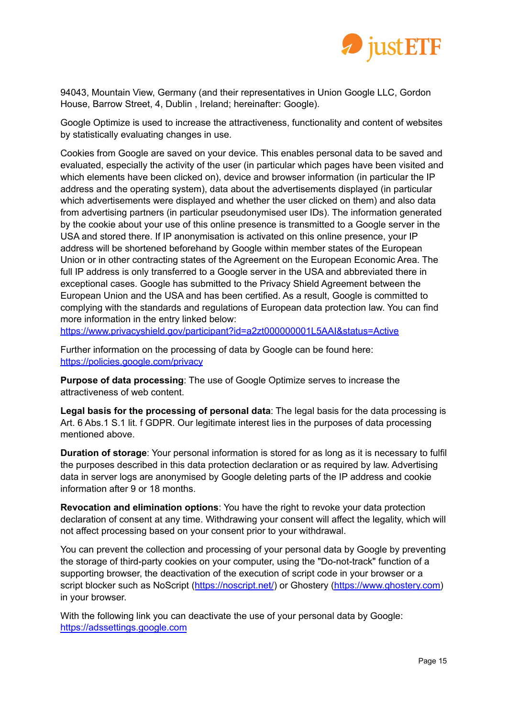

94043, Mountain View, Germany (and their representatives in Union Google LLC, Gordon House, Barrow Street, 4, Dublin , Ireland; hereinafter: Google).

Google Optimize is used to increase the attractiveness, functionality and content of websites by statistically evaluating changes in use.

Cookies from Google are saved on your device. This enables personal data to be saved and evaluated, especially the activity of the user (in particular which pages have been visited and which elements have been clicked on), device and browser information (in particular the IP address and the operating system), data about the advertisements displayed (in particular which advertisements were displayed and whether the user clicked on them) and also data from advertising partners (in particular pseudonymised user IDs). The information generated by the cookie about your use of this online presence is transmitted to a Google server in the USA and stored there. If IP anonymisation is activated on this online presence, your IP address will be shortened beforehand by Google within member states of the European Union or in other contracting states of the Agreement on the European Economic Area. The full IP address is only transferred to a Google server in the USA and abbreviated there in exceptional cases. Google has submitted to the Privacy Shield Agreement between the European Union and the USA and has been certified. As a result, Google is committed to complying with the standards and regulations of European data protection law. You can find more information in the entry linked below:

<https://www.privacyshield.gov/participant?id=a2zt000000001L5AAI&status=Active>

Further information on the processing of data by Google can be found here: <https://policies.google.com/privacy>

**Purpose of data processing**: The use of Google Optimize serves to increase the attractiveness of web content.

**Legal basis for the processing of personal data**: The legal basis for the data processing is Art. 6 Abs.1 S.1 lit. f GDPR. Our legitimate interest lies in the purposes of data processing mentioned above.

**Duration of storage**: Your personal information is stored for as long as it is necessary to fulfil the purposes described in this data protection declaration or as required by law. Advertising data in server logs are anonymised by Google deleting parts of the IP address and cookie information after 9 or 18 months.

**Revocation and elimination options**: You have the right to revoke your data protection declaration of consent at any time. Withdrawing your consent will affect the legality, which will not affect processing based on your consent prior to your withdrawal.

You can prevent the collection and processing of your personal data by Google by preventing the storage of third-party cookies on your computer, using the "Do-not-track" function of a supporting browser, the deactivation of the execution of script code in your browser or a script blocker such as NoScript (<https://noscript.net/>) or Ghostery [\(https://www.ghostery.com\)](https://www.ghostery.com) in your browser.

With the following link you can deactivate the use of your personal data by Google: <https://adssettings.google.com>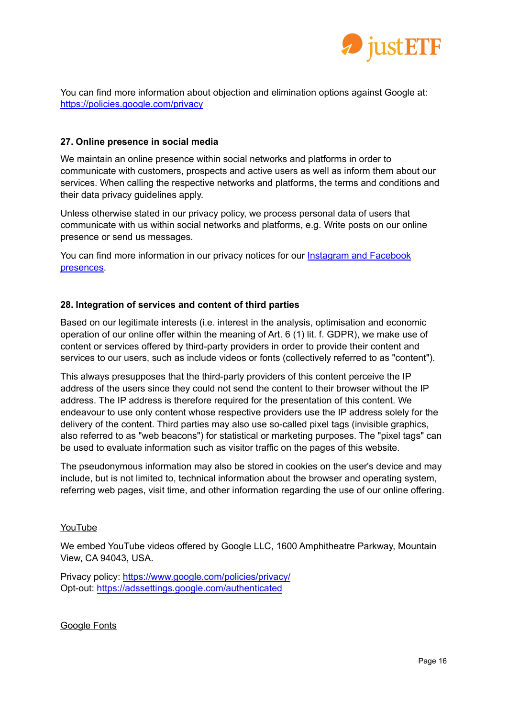

You can find more information about objection and elimination options against Google at: <https://policies.google.com/privacy>

## **27. Online presence in social media**

We maintain an online presence within social networks and platforms in order to communicate with customers, prospects and active users as well as inform them about our services. When calling the respective networks and platforms, the terms and conditions and their data privacy guidelines apply.

Unless otherwise stated in our privacy policy, we process personal data of users that communicate with us within social networks and platforms, e.g. Write posts on our online presence or send us messages.

You can find more information in our privacy notices for our **[Instagram](https://www.justetf.com/en/about/data-privacy-facebook.html) and Facebook** [presences.](https://www.justetf.com/en/about/data-privacy-facebook.html)

## **28. Integration of services and content of third parties**

Based on our legitimate interests (i.e. interest in the analysis, optimisation and economic operation of our online offer within the meaning of Art. 6 (1) lit. f. GDPR), we make use of content or services offered by third-party providers in order to provide their content and services to our users, such as include videos or fonts (collectively referred to as "content").

This always presupposes that the third-party providers of this content perceive the IP address of the users since they could not send the content to their browser without the IP address. The IP address is therefore required for the presentation of this content. We endeavour to use only content whose respective providers use the IP address solely for the delivery of the content. Third parties may also use so-called pixel tags (invisible graphics, also referred to as "web beacons") for statistical or marketing purposes. The "pixel tags" can be used to evaluate information such as visitor traffic on the pages of this website.

The pseudonymous information may also be stored in cookies on the user's device and may include, but is not limited to, technical information about the browser and operating system, referring web pages, visit time, and other information regarding the use of our online offering.

#### YouTube

We embed YouTube videos offered by Google LLC, 1600 Amphitheatre Parkway, Mountain View, CA 94043, USA.

Privacy policy: <https://www.google.com/policies/privacy/> Opt-out: <https://adssettings.google.com/authenticated>

Google Fonts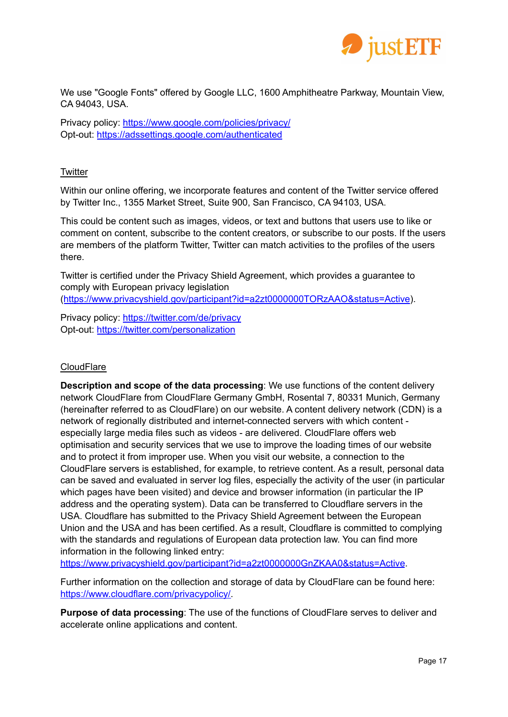

We use "Google Fonts" offered by Google LLC, 1600 Amphitheatre Parkway, Mountain View, CA 94043, USA.

Privacy policy: <https://www.google.com/policies/privacy/> Opt-out: <https://adssettings.google.com/authenticated>

# **Twitter**

Within our online offering, we incorporate features and content of the Twitter service offered by Twitter Inc., 1355 Market Street, Suite 900, San Francisco, CA 94103, USA.

This could be content such as images, videos, or text and buttons that users use to like or comment on content, subscribe to the content creators, or subscribe to our posts. If the users are members of the platform Twitter, Twitter can match activities to the profiles of the users there.

Twitter is certified under the Privacy Shield Agreement, which provides a guarantee to comply with European privacy legislation (<https://www.privacyshield.gov/participant?id=a2zt0000000TORzAAO&status=Active>).

Privacy policy: <https://twitter.com/de/privacy> Opt-out: <https://twitter.com/personalization>

# **CloudFlare**

**Description and scope of the data processing**: We use functions of the content delivery network CloudFlare from CloudFlare Germany GmbH, Rosental 7, 80331 Munich, Germany (hereinafter referred to as CloudFlare) on our website. A content delivery network (CDN) is a network of regionally distributed and internet-connected servers with which content especially large media files such as videos - are delivered. CloudFlare offers web optimisation and security services that we use to improve the loading times of our website and to protect it from improper use. When you visit our website, a connection to the CloudFlare servers is established, for example, to retrieve content. As a result, personal data can be saved and evaluated in server log files, especially the activity of the user (in particular which pages have been visited) and device and browser information (in particular the IP address and the operating system). Data can be transferred to Cloudflare servers in the USA. Cloudflare has submitted to the Privacy Shield Agreement between the European Union and the USA and has been certified. As a result, Cloudflare is committed to complying with the standards and regulations of European data protection law. You can find more information in the following linked entry:

<https://www.privacyshield.gov/participant?id=a2zt0000000GnZKAA0&status=Active>.

Further information on the collection and storage of data by CloudFlare can be found here: [https://www.cloudflare.com/privacypolicy/.](https://www.cloudflare.com/privacypolicy/)

**Purpose of data processing**: The use of the functions of CloudFlare serves to deliver and accelerate online applications and content.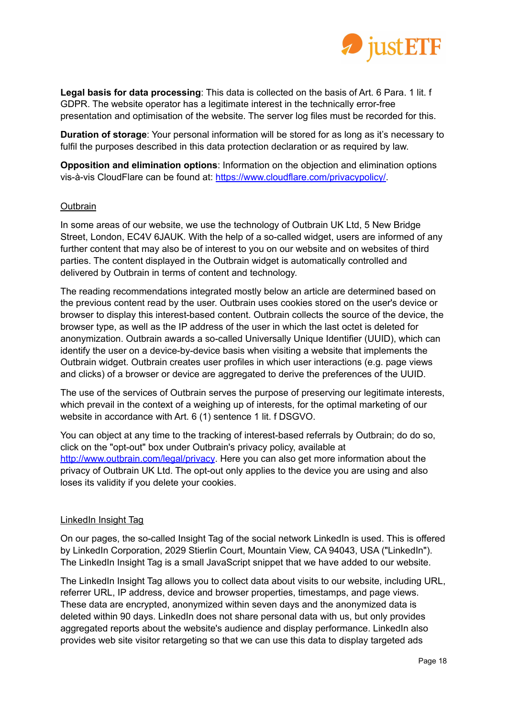

**Legal basis for data processing**: This data is collected on the basis of Art. 6 Para. 1 lit. f GDPR. The website operator has a legitimate interest in the technically error-free presentation and optimisation of the website. The server log files must be recorded for this.

**Duration of storage**: Your personal information will be stored for as long as it's necessary to fulfil the purposes described in this data protection declaration or as required by law.

**Opposition and elimination options**: Information on the objection and elimination options vis-à-vis CloudFlare can be found at: [https://www.cloudflare.com/privacypolicy/.](https://www.cloudflare.com/privacypolicy/)

## **Outbrain**

In some areas of our website, we use the technology of Outbrain UK Ltd, 5 New Bridge Street, London, EC4V 6JAUK. With the help of a so-called widget, users are informed of any further content that may also be of interest to you on our website and on websites of third parties. The content displayed in the Outbrain widget is automatically controlled and delivered by Outbrain in terms of content and technology.

The reading recommendations integrated mostly below an article are determined based on the previous content read by the user. Outbrain uses cookies stored on the user's device or browser to display this interest-based content. Outbrain collects the source of the device, the browser type, as well as the IP address of the user in which the last octet is deleted for anonymization. Outbrain awards a so-called Universally Unique Identifier (UUID), which can identify the user on a device-by-device basis when visiting a website that implements the Outbrain widget. Outbrain creates user profiles in which user interactions (e.g. page views and clicks) of a browser or device are aggregated to derive the preferences of the UUID.

The use of the services of Outbrain serves the purpose of preserving our legitimate interests, which prevail in the context of a weighing up of interests, for the optimal marketing of our website in accordance with Art. 6 (1) sentence 1 lit. f DSGVO.

You can object at any time to the tracking of interest-based referrals by Outbrain; do do so, click on the "opt-out" box under Outbrain's privacy policy, available at <http://www.outbrain.com/legal/privacy>. Here you can also get more information about the privacy of Outbrain UK Ltd. The opt-out only applies to the device you are using and also loses its validity if you delete your cookies.

#### LinkedIn Insight Tag

On our pages, the so-called Insight Tag of the social network LinkedIn is used. This is offered by LinkedIn Corporation, 2029 Stierlin Court, Mountain View, CA 94043, USA ("LinkedIn"). The LinkedIn Insight Tag is a small JavaScript snippet that we have added to our website.

The LinkedIn Insight Tag allows you to collect data about visits to our website, including URL, referrer URL, IP address, device and browser properties, timestamps, and page views. These data are encrypted, anonymized within seven days and the anonymized data is deleted within 90 days. LinkedIn does not share personal data with us, but only provides aggregated reports about the website's audience and display performance. LinkedIn also provides web site visitor retargeting so that we can use this data to display targeted ads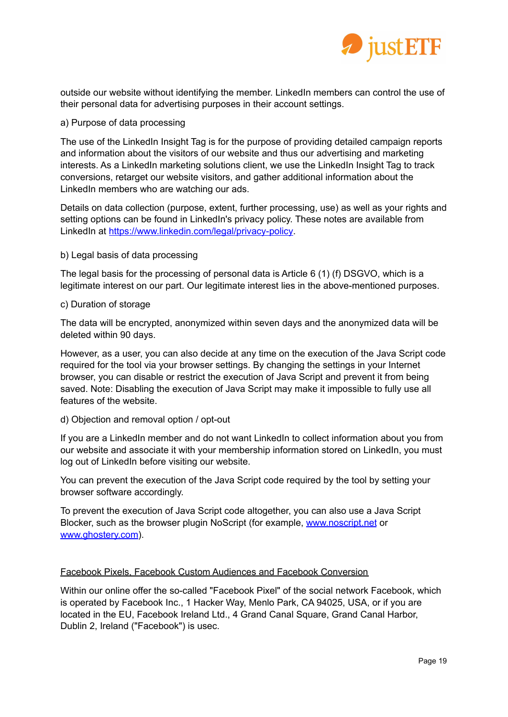

outside our website without identifying the member. LinkedIn members can control the use of their personal data for advertising purposes in their account settings.

#### a) Purpose of data processing

The use of the LinkedIn Insight Tag is for the purpose of providing detailed campaign reports and information about the visitors of our website and thus our advertising and marketing interests. As a LinkedIn marketing solutions client, we use the LinkedIn Insight Tag to track conversions, retarget our website visitors, and gather additional information about the LinkedIn members who are watching our ads.

Details on data collection (purpose, extent, further processing, use) as well as your rights and setting options can be found in LinkedIn's privacy policy. These notes are available from LinkedIn at [https://www.linkedin.com/legal/privacy-policy.](https://www.linkedin.com/legal/privacy-policy)

## b) Legal basis of data processing

The legal basis for the processing of personal data is Article 6 (1) (f) DSGVO, which is a legitimate interest on our part. Our legitimate interest lies in the above-mentioned purposes.

#### c) Duration of storage

The data will be encrypted, anonymized within seven days and the anonymized data will be deleted within 90 days.

However, as a user, you can also decide at any time on the execution of the Java Script code required for the tool via your browser settings. By changing the settings in your Internet browser, you can disable or restrict the execution of Java Script and prevent it from being saved. Note: Disabling the execution of Java Script may make it impossible to fully use all features of the website.

#### d) Objection and removal option / opt-out

If you are a LinkedIn member and do not want LinkedIn to collect information about you from our website and associate it with your membership information stored on LinkedIn, you must log out of LinkedIn before visiting our website.

You can prevent the execution of the Java Script code required by the tool by setting your browser software accordingly.

To prevent the execution of Java Script code altogether, you can also use a Java Script Blocker, such as the browser plugin NoScript (for example, [www.noscript.net](http://www.noscript.net) or [www.ghostery.com](http://www.ghostery.com)).

#### Facebook Pixels, Facebook Custom Audiences and Facebook Conversion

Within our online offer the so-called "Facebook Pixel" of the social network Facebook, which is operated by Facebook Inc., 1 Hacker Way, Menlo Park, CA 94025, USA, or if you are located in the EU, Facebook Ireland Ltd., 4 Grand Canal Square, Grand Canal Harbor, Dublin 2, Ireland ("Facebook") is usec.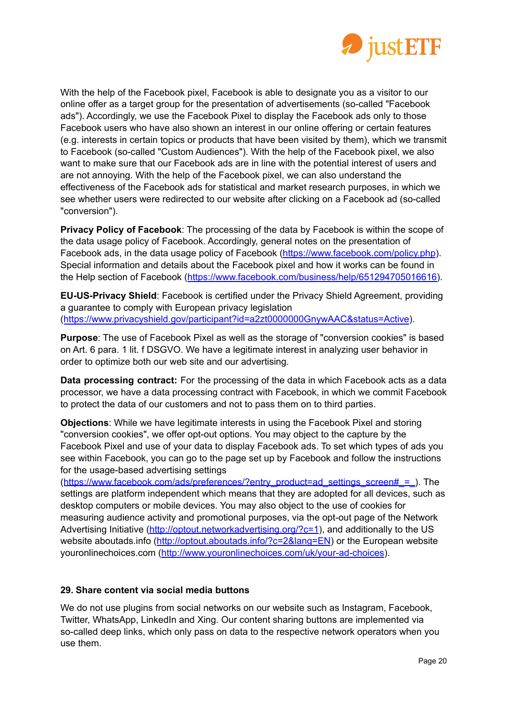

With the help of the Facebook pixel, Facebook is able to designate you as a visitor to our online offer as a target group for the presentation of advertisements (so-called "Facebook ads"). Accordingly, we use the Facebook Pixel to display the Facebook ads only to those Facebook users who have also shown an interest in our online offering or certain features (e.g. interests in certain topics or products that have been visited by them), which we transmit to Facebook (so-called "Custom Audiences"). With the help of the Facebook pixel, we also want to make sure that our Facebook ads are in line with the potential interest of users and are not annoying. With the help of the Facebook pixel, we can also understand the effectiveness of the Facebook ads for statistical and market research purposes, in which we see whether users were redirected to our website after clicking on a Facebook ad (so-called "conversion").

**Privacy Policy of Facebook**: The processing of the data by Facebook is within the scope of the data usage policy of Facebook. Accordingly, general notes on the presentation of Facebook ads, in the data usage policy of Facebook (<https://www.facebook.com/policy.php>). Special information and details about the Facebook pixel and how it works can be found in the Help section of Facebook ([https://www.facebook.com/business/help/651294705016616\)](https://www.facebook.com/business/help/651294705016616).

**EU-US-Privacy Shield**: Facebook is certified under the Privacy Shield Agreement, providing a guarantee to comply with European privacy legislation ([https://www.privacyshield.gov/participant?id=a2zt0000000GnywAAC&status=Active](https://www.privacyshield.gov/participant?id=a2zt0000000GnywAAC&status=Active))).

**Purpose**: The use of Facebook Pixel as well as the storage of "conversion cookies" is based on Art. 6 para. 1 lit. f DSGVO. We have a legitimate interest in analyzing user behavior in order to optimize both our web site and our advertising.

**Data processing contract:** For the processing of the data in which Facebook acts as a data processor, we have a data processing contract with Facebook, in which we commit Facebook to protect the data of our customers and not to pass them on to third parties.

**Objections**: While we have legitimate interests in using the Facebook Pixel and storing "conversion cookies", we offer opt-out options. You may object to the capture by the Facebook Pixel and use of your data to display Facebook ads. To set which types of ads you see within Facebook, you can go to the page set up by Facebook and follow the instructions for the usage-based advertising settings

(https://www.facebook.com/ads/preferences/?entry\_product=ad\_settings\_screen# = ). The settings are platform independent which means that they are adopted for all devices, such as desktop computers or mobile devices. You may also object to the use of cookies for measuring audience activity and promotional purposes, via the opt-out page of the Network Advertising Initiative [\(http://optout.networkadvertising.org/?c=1](http://optout.networkadvertising.org/?c=1)), and additionally to the US website aboutads.info (<http://optout.aboutads.info/?c=2&lang=EN>) or the European website youronlinechoices.com [\(http://www.youronlinechoices.com/uk/your-ad-choices\)](http://www.youronlinechoices.com/uk/your-ad-choices).

# **29. Share content via social media buttons**

We do not use plugins from social networks on our website such as Instagram, Facebook, Twitter, WhatsApp, LinkedIn and Xing. Our content sharing buttons are implemented via so-called deep links, which only pass on data to the respective network operators when you use them.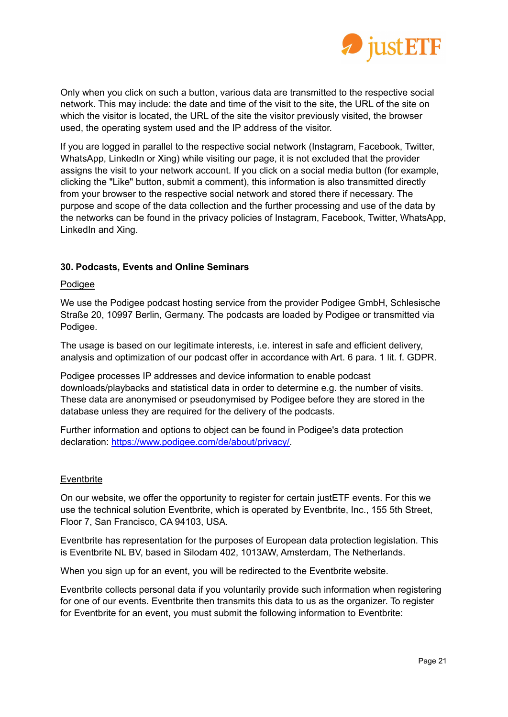

Only when you click on such a button, various data are transmitted to the respective social network. This may include: the date and time of the visit to the site, the URL of the site on which the visitor is located, the URL of the site the visitor previously visited, the browser used, the operating system used and the IP address of the visitor.

If you are logged in parallel to the respective social network (Instagram, Facebook, Twitter, WhatsApp, LinkedIn or Xing) while visiting our page, it is not excluded that the provider assigns the visit to your network account. If you click on a social media button (for example, clicking the "Like" button, submit a comment), this information is also transmitted directly from your browser to the respective social network and stored there if necessary. The purpose and scope of the data collection and the further processing and use of the data by the networks can be found in the privacy policies of Instagram, Facebook, Twitter, WhatsApp, LinkedIn and Xing.

# **30. Podcasts, Events and Online Seminars**

## Podigee

We use the Podigee podcast hosting service from the provider Podigee GmbH, Schlesische Straße 20, 10997 Berlin, Germany. The podcasts are loaded by Podigee or transmitted via Podigee.

The usage is based on our legitimate interests, i.e. interest in safe and efficient delivery, analysis and optimization of our podcast offer in accordance with Art. 6 para. 1 lit. f. GDPR.

Podigee processes IP addresses and device information to enable podcast downloads/playbacks and statistical data in order to determine e.g. the number of visits. These data are anonymised or pseudonymised by Podigee before they are stored in the database unless they are required for the delivery of the podcasts.

Further information and options to object can be found in Podigee's data protection declaration: [https://www.podigee.com/de/about/privacy/.](https://www.podigee.com/de/about/privacy/)

#### **Eventbrite**

On our website, we offer the opportunity to register for certain justETF events. For this we use the technical solution Eventbrite, which is operated by Eventbrite, Inc., 155 5th Street, Floor 7, San Francisco, CA 94103, USA.

Eventbrite has representation for the purposes of European data protection legislation. This is Eventbrite NL BV, based in Silodam 402, 1013AW, Amsterdam, The Netherlands.

When you sign up for an event, you will be redirected to the Eventbrite website.

Eventbrite collects personal data if you voluntarily provide such information when registering for one of our events. Eventbrite then transmits this data to us as the organizer. To register for Eventbrite for an event, you must submit the following information to Eventbrite: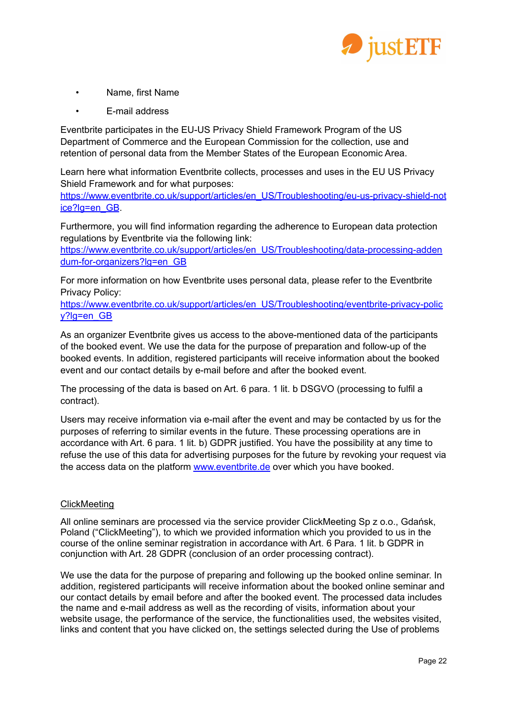

- Name, first Name
- E-mail address

Eventbrite participates in the EU-US Privacy Shield Framework Program of the US Department of Commerce and the European Commission for the collection, use and retention of personal data from the Member States of the European Economic Area.

Learn here what information Eventbrite collects, processes and uses in the EU US Privacy Shield Framework and for what purposes:

[https://www.eventbrite.co.uk/support/articles/en\\_US/Troubleshooting/eu-us-privacy-shield-not](https://www.eventbrite.co.uk/support/articles/en_US/Troubleshooting/eu-us-privacy-shield-notice?lg=en_GB) [ice?lg=en\\_GB](https://www.eventbrite.co.uk/support/articles/en_US/Troubleshooting/eu-us-privacy-shield-notice?lg=en_GB).

Furthermore, you will find information regarding the adherence to European data protection regulations by Eventbrite via the following link:

[https://www.eventbrite.co.uk/support/articles/en\\_US/Troubleshooting/data-processing-adden](https://www.eventbrite.co.uk/support/articles/en_US/Troubleshooting/data-processing-addendum-for-organizers?lg=en_GB) [dum-for-organizers?lg=en\\_GB](https://www.eventbrite.co.uk/support/articles/en_US/Troubleshooting/data-processing-addendum-for-organizers?lg=en_GB)

For more information on how Eventbrite uses personal data, please refer to the Eventbrite Privacy Policy:

[https://www.eventbrite.co.uk/support/articles/en\\_US/Troubleshooting/eventbrite-privacy-polic](https://www.eventbrite.co.uk/support/articles/en_US/Troubleshooting/eventbrite-privacy-policy?lg=en_GB) [y?lg=en\\_GB](https://www.eventbrite.co.uk/support/articles/en_US/Troubleshooting/eventbrite-privacy-policy?lg=en_GB)

As an organizer Eventbrite gives us access to the above-mentioned data of the participants of the booked event. We use the data for the purpose of preparation and follow-up of the booked events. In addition, registered participants will receive information about the booked event and our contact details by e-mail before and after the booked event.

The processing of the data is based on Art. 6 para. 1 lit. b DSGVO (processing to fulfil a contract).

Users may receive information via e-mail after the event and may be contacted by us for the purposes of referring to similar events in the future. These processing operations are in accordance with Art. 6 para. 1 lit. b) GDPR justified. You have the possibility at any time to refuse the use of this data for advertising purposes for the future by revoking your request via the access data on the platform [www.eventbrite.de](http://www.eventbrite.de) over which you have booked.

# ClickMeeting

All online seminars are processed via the service provider ClickMeeting Sp z o.o., Gdańsk, Poland ("ClickMeeting"), to which we provided information which you provided to us in the course of the online seminar registration in accordance with Art. 6 Para. 1 lit. b GDPR in conjunction with Art. 28 GDPR (conclusion of an order processing contract).

We use the data for the purpose of preparing and following up the booked online seminar. In addition, registered participants will receive information about the booked online seminar and our contact details by email before and after the booked event. The processed data includes the name and e-mail address as well as the recording of visits, information about your website usage, the performance of the service, the functionalities used, the websites visited, links and content that you have clicked on, the settings selected during the Use of problems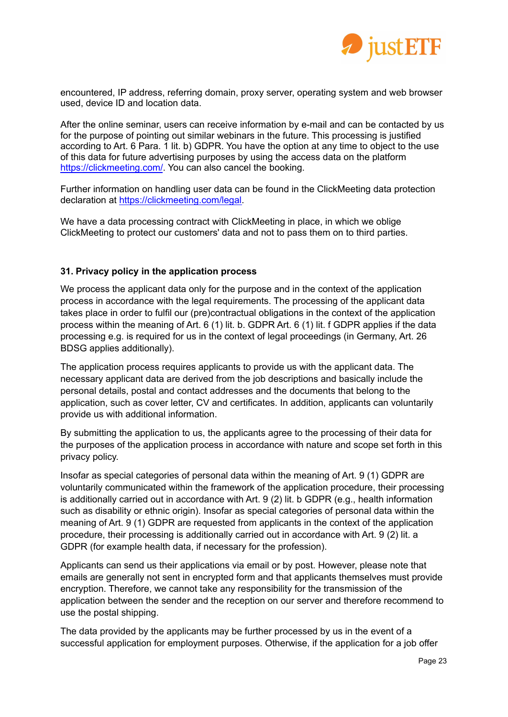

encountered, IP address, referring domain, proxy server, operating system and web browser used, device ID and location data.

After the online seminar, users can receive information by e-mail and can be contacted by us for the purpose of pointing out similar webinars in the future. This processing is justified according to Art. 6 Para. 1 lit. b) GDPR. You have the option at any time to object to the use of this data for future advertising purposes by using the access data on the platform <https://clickmeeting.com/>. You can also cancel the booking.

Further information on handling user data can be found in the ClickMeeting data protection declaration at [https://clickmeeting.com/legal.](https://clickmeeting.com/legal)

We have a data processing contract with ClickMeeting in place, in which we oblige ClickMeeting to protect our customers' data and not to pass them on to third parties.

## **31. Privacy policy in the application process**

We process the applicant data only for the purpose and in the context of the application process in accordance with the legal requirements. The processing of the applicant data takes place in order to fulfil our (pre)contractual obligations in the context of the application process within the meaning of Art. 6 (1) lit. b. GDPR Art. 6 (1) lit. f GDPR applies if the data processing e.g. is required for us in the context of legal proceedings (in Germany, Art. 26 BDSG applies additionally).

The application process requires applicants to provide us with the applicant data. The necessary applicant data are derived from the job descriptions and basically include the personal details, postal and contact addresses and the documents that belong to the application, such as cover letter, CV and certificates. In addition, applicants can voluntarily provide us with additional information.

By submitting the application to us, the applicants agree to the processing of their data for the purposes of the application process in accordance with nature and scope set forth in this privacy policy.

Insofar as special categories of personal data within the meaning of Art. 9 (1) GDPR are voluntarily communicated within the framework of the application procedure, their processing is additionally carried out in accordance with Art. 9 (2) lit. b GDPR (e.g., health information such as disability or ethnic origin). Insofar as special categories of personal data within the meaning of Art. 9 (1) GDPR are requested from applicants in the context of the application procedure, their processing is additionally carried out in accordance with Art. 9 (2) lit. a GDPR (for example health data, if necessary for the profession).

Applicants can send us their applications via email or by post. However, please note that emails are generally not sent in encrypted form and that applicants themselves must provide encryption. Therefore, we cannot take any responsibility for the transmission of the application between the sender and the reception on our server and therefore recommend to use the postal shipping.

The data provided by the applicants may be further processed by us in the event of a successful application for employment purposes. Otherwise, if the application for a job offer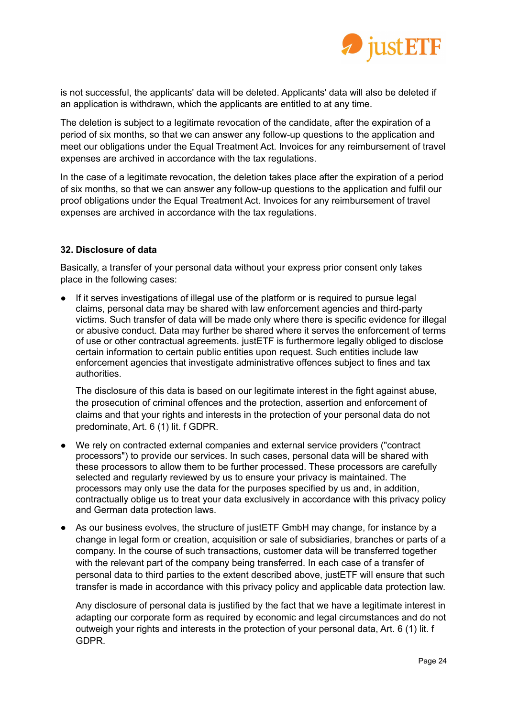

is not successful, the applicants' data will be deleted. Applicants' data will also be deleted if an application is withdrawn, which the applicants are entitled to at any time.

The deletion is subject to a legitimate revocation of the candidate, after the expiration of a period of six months, so that we can answer any follow-up questions to the application and meet our obligations under the Equal Treatment Act. Invoices for any reimbursement of travel expenses are archived in accordance with the tax regulations.

In the case of a legitimate revocation, the deletion takes place after the expiration of a period of six months, so that we can answer any follow-up questions to the application and fulfil our proof obligations under the Equal Treatment Act. Invoices for any reimbursement of travel expenses are archived in accordance with the tax regulations.

## **32. Disclosure of data**

Basically, a transfer of your personal data without your express prior consent only takes place in the following cases:

● If it serves investigations of illegal use of the platform or is required to pursue legal claims, personal data may be shared with law enforcement agencies and third-party victims. Such transfer of data will be made only where there is specific evidence for illegal or abusive conduct. Data may further be shared where it serves the enforcement of terms of use or other contractual agreements. justETF is furthermore legally obliged to disclose certain information to certain public entities upon request. Such entities include law enforcement agencies that investigate administrative offences subject to fines and tax authorities.

The disclosure of this data is based on our legitimate interest in the fight against abuse, the prosecution of criminal offences and the protection, assertion and enforcement of claims and that your rights and interests in the protection of your personal data do not predominate, Art. 6 (1) lit. f GDPR.

- We rely on contracted external companies and external service providers ("contract processors") to provide our services. In such cases, personal data will be shared with these processors to allow them to be further processed. These processors are carefully selected and regularly reviewed by us to ensure your privacy is maintained. The processors may only use the data for the purposes specified by us and, in addition, contractually oblige us to treat your data exclusively in accordance with this privacy policy and German data protection laws.
- As our business evolves, the structure of justETF GmbH may change, for instance by a change in legal form or creation, acquisition or sale of subsidiaries, branches or parts of a company. In the course of such transactions, customer data will be transferred together with the relevant part of the company being transferred. In each case of a transfer of personal data to third parties to the extent described above, justETF will ensure that such transfer is made in accordance with this privacy policy and applicable data protection law.

Any disclosure of personal data is justified by the fact that we have a legitimate interest in adapting our corporate form as required by economic and legal circumstances and do not outweigh your rights and interests in the protection of your personal data, Art. 6 (1) lit. f GDPR.